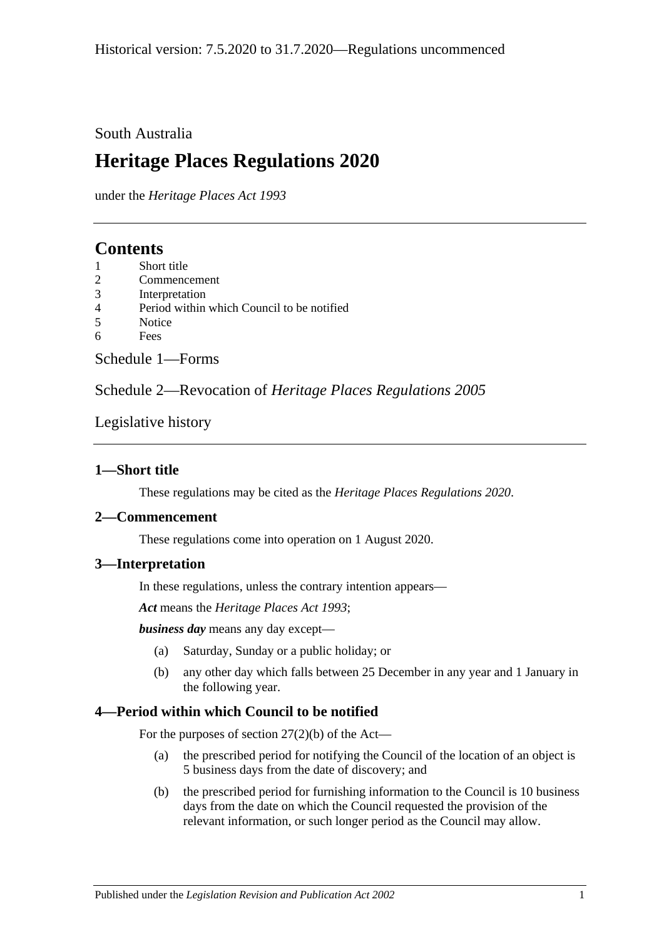### South Australia

# **Heritage Places Regulations 2020**

under the *Heritage Places Act 1993*

# **Contents**

- 1 [Short title](#page-0-0)
- 2 [Commencement](#page-0-1)
- 3 [Interpretation](#page-0-2)
- 4 [Period within which Council to be notified](#page-0-3)
- 5 [Notice](#page-1-0)
- 6 [Fees](#page-1-1)

Schedule [1—Forms](#page-1-2)

Schedule 2—Revocation of *[Heritage Places Regulations](#page-3-0) 2005*

### [Legislative history](#page-4-0)

### <span id="page-0-0"></span>**1—Short title**

These regulations may be cited as the *Heritage Places Regulations 2020*.

### <span id="page-0-1"></span>**2—Commencement**

These regulations come into operation on 1 August 2020.

### <span id="page-0-2"></span>**3—Interpretation**

In these regulations, unless the contrary intention appears—

*Act* means the *[Heritage Places Act](http://www.legislation.sa.gov.au/index.aspx?action=legref&type=act&legtitle=Heritage%20Places%20Act%201993) 1993*;

*business day* means any day except—

- (a) Saturday, Sunday or a public holiday; or
- (b) any other day which falls between 25 December in any year and 1 January in the following year.

### <span id="page-0-3"></span>**4—Period within which Council to be notified**

For the purposes of section  $27(2)(b)$  of the Act—

- (a) the prescribed period for notifying the Council of the location of an object is 5 business days from the date of discovery; and
- (b) the prescribed period for furnishing information to the Council is 10 business days from the date on which the Council requested the provision of the relevant information, or such longer period as the Council may allow.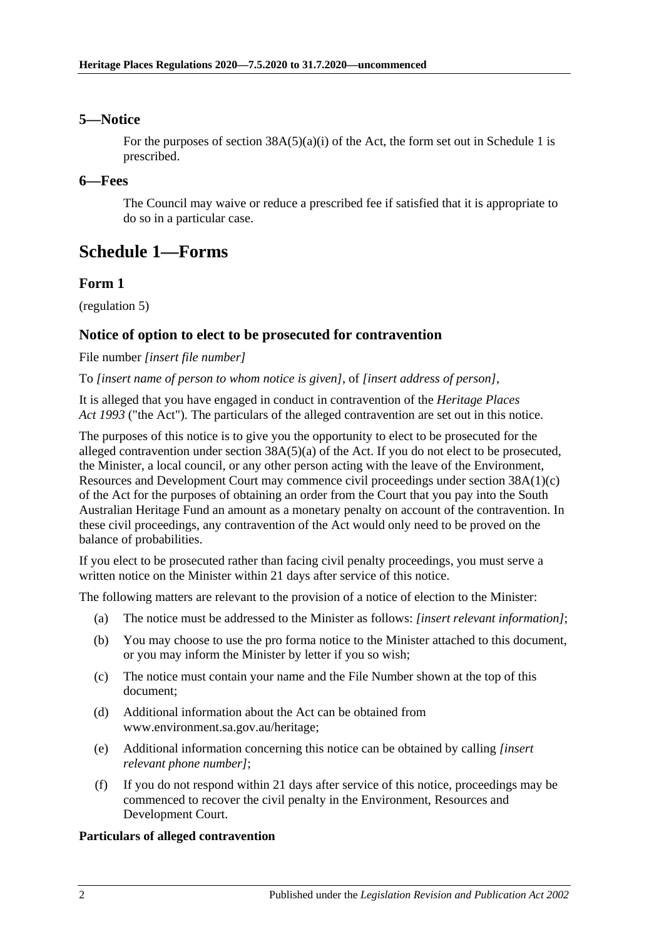### <span id="page-1-0"></span>**5—Notice**

For the purposes of section  $38A(5)(a)(i)$  of the Act, the form set out in [Schedule](#page-1-2) 1 is prescribed.

### <span id="page-1-1"></span>**6—Fees**

The Council may waive or reduce a prescribed fee if satisfied that it is appropriate to do so in a particular case.

# <span id="page-1-2"></span>**Schedule 1—Forms**

### **Form 1**

[\(regulation](#page-1-0) 5)

### **Notice of option to elect to be prosecuted for contravention**

File number *[insert file number]*

To *[insert name of person to whom notice is given]*, of *[insert address of person]*,

It is alleged that you have engaged in conduct in contravention of the *[Heritage Places](http://www.legislation.sa.gov.au/index.aspx?action=legref&type=act&legtitle=Heritage%20Places%20Act%201993)  Act [1993](http://www.legislation.sa.gov.au/index.aspx?action=legref&type=act&legtitle=Heritage%20Places%20Act%201993)* ("the Act"). The particulars of the alleged contravention are set out in this notice.

The purposes of this notice is to give you the opportunity to elect to be prosecuted for the alleged contravention under section 38A(5)(a) of the Act. If you do not elect to be prosecuted, the Minister, a local council, or any other person acting with the leave of the Environment, Resources and Development Court may commence civil proceedings under section 38A(1)(c) of the Act for the purposes of obtaining an order from the Court that you pay into the South Australian Heritage Fund an amount as a monetary penalty on account of the contravention. In these civil proceedings, any contravention of the Act would only need to be proved on the balance of probabilities.

If you elect to be prosecuted rather than facing civil penalty proceedings, you must serve a written notice on the Minister within 21 days after service of this notice.

The following matters are relevant to the provision of a notice of election to the Minister:

- (a) The notice must be addressed to the Minister as follows: *[insert relevant information]*;
- (b) You may choose to use the pro forma notice to the Minister attached to this document, or you may inform the Minister by letter if you so wish;
- (c) The notice must contain your name and the File Number shown at the top of this document;
- (d) Additional information about the Act can be obtained from www.environment.sa.gov.au/heritage;
- (e) Additional information concerning this notice can be obtained by calling *[insert relevant phone number]*;
- (f) If you do not respond within 21 days after service of this notice, proceedings may be commenced to recover the civil penalty in the Environment, Resources and Development Court.

#### **Particulars of alleged contravention**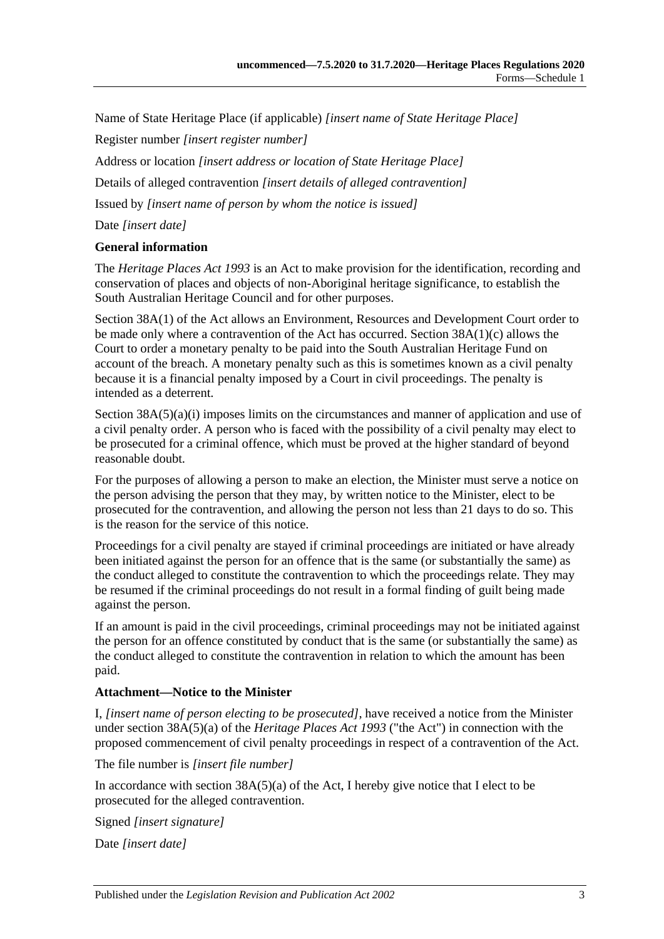Name of State Heritage Place (if applicable) *[insert name of State Heritage Place]*

Register number *[insert register number]*

Address or location *[insert address or location of State Heritage Place]*

Details of alleged contravention *[insert details of alleged contravention]*

Issued by *[insert name of person by whom the notice is issued]*

Date *[insert date]*

#### **General information**

The *[Heritage Places Act](http://www.legislation.sa.gov.au/index.aspx?action=legref&type=act&legtitle=Heritage%20Places%20Act%201993) 1993* is an Act to make provision for the identification, recording and conservation of places and objects of non-Aboriginal heritage significance, to establish the South Australian Heritage Council and for other purposes.

Section 38A(1) of the Act allows an Environment, Resources and Development Court order to be made only where a contravention of the Act has occurred. Section 38A(1)(c) allows the Court to order a monetary penalty to be paid into the South Australian Heritage Fund on account of the breach. A monetary penalty such as this is sometimes known as a civil penalty because it is a financial penalty imposed by a Court in civil proceedings. The penalty is intended as a deterrent.

Section  $38A(5)(a)(i)$  imposes limits on the circumstances and manner of application and use of a civil penalty order. A person who is faced with the possibility of a civil penalty may elect to be prosecuted for a criminal offence, which must be proved at the higher standard of beyond reasonable doubt.

For the purposes of allowing a person to make an election, the Minister must serve a notice on the person advising the person that they may, by written notice to the Minister, elect to be prosecuted for the contravention, and allowing the person not less than 21 days to do so. This is the reason for the service of this notice.

Proceedings for a civil penalty are stayed if criminal proceedings are initiated or have already been initiated against the person for an offence that is the same (or substantially the same) as the conduct alleged to constitute the contravention to which the proceedings relate. They may be resumed if the criminal proceedings do not result in a formal finding of guilt being made against the person.

If an amount is paid in the civil proceedings, criminal proceedings may not be initiated against the person for an offence constituted by conduct that is the same (or substantially the same) as the conduct alleged to constitute the contravention in relation to which the amount has been paid.

#### **Attachment—Notice to the Minister**

I, *[insert name of person electing to be prosecuted]*, have received a notice from the Minister under section 38A(5)(a) of the *[Heritage Places Act](http://www.legislation.sa.gov.au/index.aspx?action=legref&type=act&legtitle=Heritage%20Places%20Act%201993) 1993* ("the Act") in connection with the proposed commencement of civil penalty proceedings in respect of a contravention of the Act.

The file number is *[insert file number]*

In accordance with section  $38A(5)(a)$  of the Act, I hereby give notice that I elect to be prosecuted for the alleged contravention.

Signed *[insert signature]*

Date *[insert date]*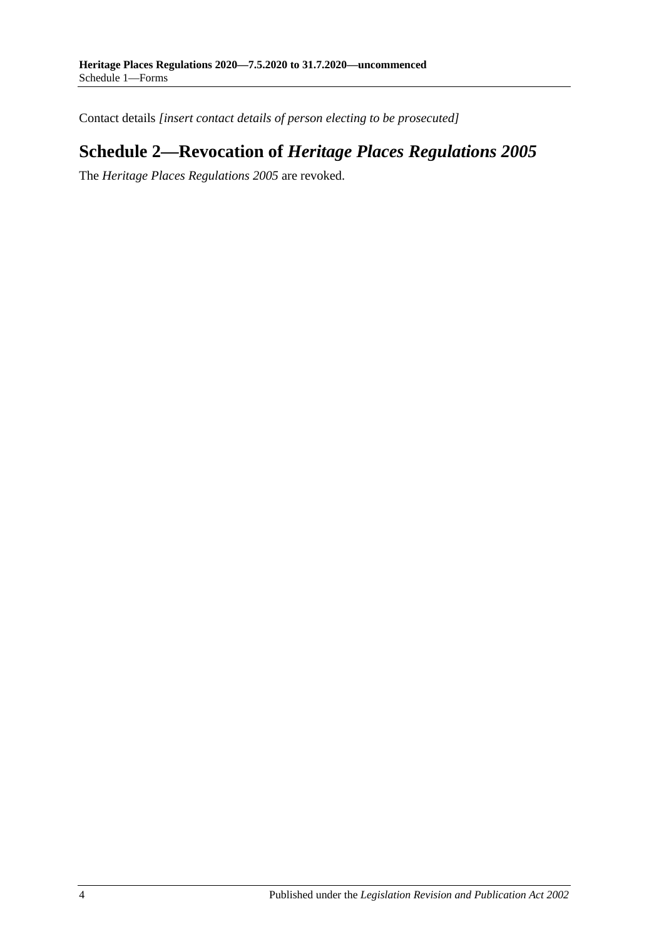<span id="page-3-0"></span>Contact details *[insert contact details of person electing to be prosecuted]*

# **Schedule 2—Revocation of** *Heritage Places Regulations 2005*

The *[Heritage Places Regulations](http://www.legislation.sa.gov.au/index.aspx?action=legref&type=subordleg&legtitle=Heritage%20Places%20Regulations%202005) 2005* are revoked.